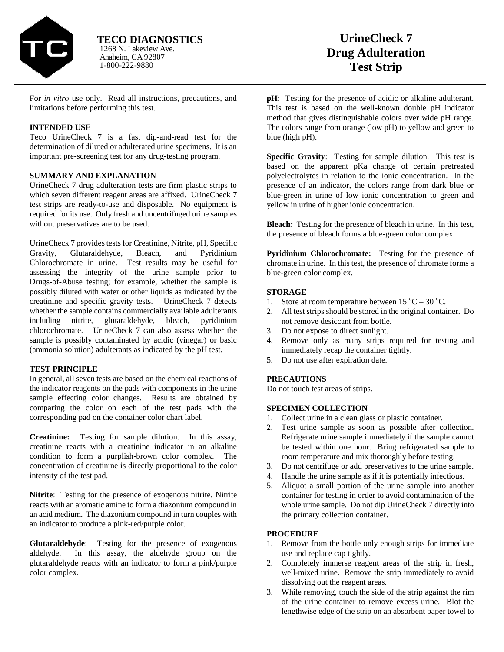

Anaheim, CA 92807 1-800-222-9880 1268 N. Lakeview Ave. **TECO DIAGNOSTICS**

For *in vitro* use only. Read all instructions, precautions, and limitations before performing this test.

### **INTENDED USE**

Teco UrineCheck 7 is a fast dip-and-read test for the determination of diluted or adulterated urine specimens. It is an important pre-screening test for any drug-testing program.

### **SUMMARY AND EXPLANATION**

UrineCheck 7 drug adulteration tests are firm plastic strips to which seven different reagent areas are affixed. UrineCheck 7 test strips are ready-to-use and disposable. No equipment is required for its use. Only fresh and uncentrifuged urine samples without preservatives are to be used.

UrineCheck 7 provides tests for Creatinine, Nitrite, pH, Specific Gravity, Glutaraldehyde, Bleach, and Pyridinium Chlorochromate in urine. Test results may be useful for assessing the integrity of the urine sample prior to Drugs-of-Abuse testing; for example, whether the sample is possibly diluted with water or other liquids as indicated by the creatinine and specific gravity tests. UrineCheck 7 detects whether the sample contains commercially available adulterants including nitrite, glutaraldehyde, bleach, pyridinium chlorochromate. UrineCheck 7 can also assess whether the sample is possibly contaminated by acidic (vinegar) or basic (ammonia solution) adulterants as indicated by the pH test.

# **TEST PRINCIPLE**

In general, all seven tests are based on the chemical reactions of the indicator reagents on the pads with components in the urine sample effecting color changes. Results are obtained by comparing the color on each of the test pads with the corresponding pad on the container color chart label.

**Creatinine:** Testing for sample dilution. In this assay, creatinine reacts with a creatinine indicator in an alkaline condition to form a purplish-brown color complex. The concentration of creatinine is directly proportional to the color intensity of the test pad.

**Nitrite**: Testing for the presence of exogenous nitrite. Nitrite reacts with an aromatic amine to form a diazonium compound in an acid medium. The diazonium compound in turn couples with an indicator to produce a pink-red/purple color.

**Glutaraldehyde**: Testing for the presence of exogenous aldehyde. In this assay, the aldehyde group on the glutaraldehyde reacts with an indicator to form a pink/purple color complex.

**pH**: Testing for the presence of acidic or alkaline adulterant. This test is based on the well-known double pH indicator method that gives distinguishable colors over wide pH range. The colors range from orange (low pH) to yellow and green to blue (high pH).

**Specific Gravity:** Testing for sample dilution. This test is based on the apparent pKa change of certain pretreated polyelectrolytes in relation to the ionic concentration. In the presence of an indicator, the colors range from dark blue or blue-green in urine of low ionic concentration to green and yellow in urine of higher ionic concentration.

**Bleach:** Testing for the presence of bleach in urine. In this test, the presence of bleach forms a blue-green color complex.

**Pyridinium Chlorochromate:** Testing for the presence of chromate in urine. In this test, the presence of chromate forms a blue-green color complex.

# **STORAGE**

- 1. Store at room temperature between  $15^{\circ}C 30^{\circ}C$ .
- 2. All test strips should be stored in the original container. Do not remove desiccant from bottle.
- 3. Do not expose to direct sunlight.
- 4. Remove only as many strips required for testing and immediately recap the container tightly.
- 5. Do not use after expiration date.

# **PRECAUTIONS**

Do not touch test areas of strips.

### **SPECIMEN COLLECTION**

- 1. Collect urine in a clean glass or plastic container.
- 2. Test urine sample as soon as possible after collection. Refrigerate urine sample immediately if the sample cannot be tested within one hour. Bring refrigerated sample to room temperature and mix thoroughly before testing.
- 3. Do not centrifuge or add preservatives to the urine sample.
- 4. Handle the urine sample as if it is potentially infectious.
- 5. Aliquot a small portion of the urine sample into another container for testing in order to avoid contamination of the whole urine sample. Do not dip UrineCheck 7 directly into the primary collection container.

### **PROCEDURE**

- 1. Remove from the bottle only enough strips for immediate use and replace cap tightly.
- 2. Completely immerse reagent areas of the strip in fresh, well-mixed urine. Remove the strip immediately to avoid dissolving out the reagent areas.
- 3. While removing, touch the side of the strip against the rim of the urine container to remove excess urine. Blot the lengthwise edge of the strip on an absorbent paper towel to